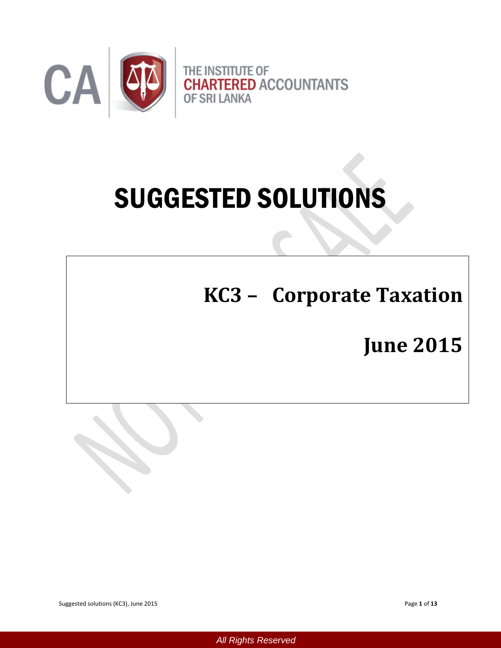

# SUGGESTED SOLUTIONS

**KC3 – Corporate Taxation**

**June 2015**

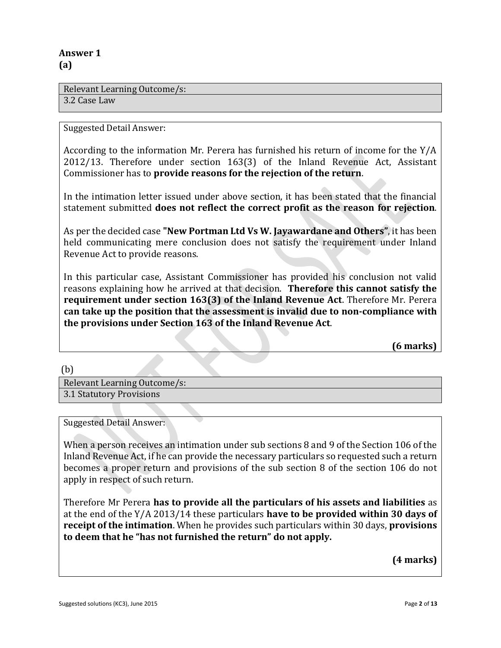## **Answer 1 (a)**

Relevant Learning Outcome/s:

3.2 Case Law

Suggested Detail Answer:

According to the information Mr. Perera has furnished his return of income for the Y/A 2012/13. Therefore under section 163(3) of the Inland Revenue Act, Assistant Commissioner has to **provide reasons for the rejection of the return**.

In the intimation letter issued under above section, it has been stated that the financial statement submitted **does not reflect the correct profit as the reason for rejection**.

As per the decided case **"New Portman Ltd Vs W. Jayawardane and Others"**, it has been held communicating mere conclusion does not satisfy the requirement under Inland Revenue Act to provide reasons.

In this particular case, Assistant Commissioner has provided his conclusion not valid reasons explaining how he arrived at that decision. **Therefore this cannot satisfy the requirement under section 163(3) of the Inland Revenue Act**. Therefore Mr. Perera **can take up the position that the assessment is invalid due to non-compliance with the provisions under Section 163 of the Inland Revenue Act**.

**(6 marks)**

(b)

Relevant Learning Outcome/s: 3.1 Statutory Provisions

Suggested Detail Answer:

When a person receives an intimation under sub sections 8 and 9 of the Section 106 of the Inland Revenue Act, if he can provide the necessary particulars so requested such a return becomes a proper return and provisions of the sub section 8 of the section 106 do not apply in respect of such return.

Therefore Mr Perera **has to provide all the particulars of his assets and liabilities** as at the end of the Y/A 2013/14 these particulars **have to be provided within 30 days of receipt of the intimation**. When he provides such particulars within 30 days, **provisions to deem that he "has not furnished the return" do not apply.**

**(4 marks)**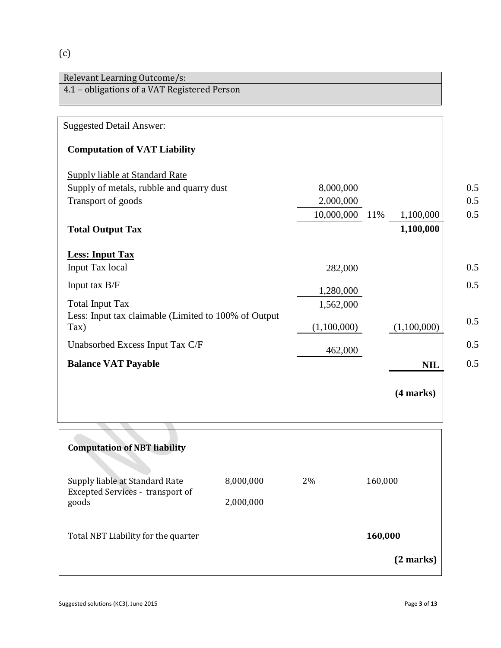# (c)

| <b>Suggested Detail Answer:</b>                              |             |                  |
|--------------------------------------------------------------|-------------|------------------|
| <b>Computation of VAT Liability</b>                          |             |                  |
| Supply liable at Standard Rate                               |             |                  |
| Supply of metals, rubble and quarry dust                     | 8,000,000   |                  |
| Transport of goods                                           | 2,000,000   |                  |
|                                                              | 10,000,000  | 1,100,000<br>11% |
| <b>Total Output Tax</b>                                      |             | 1,100,000        |
| <b>Less: Input Tax</b>                                       |             |                  |
| Input Tax local                                              | 282,000     |                  |
| Input tax B/F                                                | 1,280,000   |                  |
| <b>Total Input Tax</b>                                       | 1,562,000   |                  |
| Less: Input tax claimable (Limited to 100% of Output<br>Tax) | (1,100,000) | (1,100,000)      |
| Unabsorbed Excess Input Tax C/F                              | 462,000     |                  |
| <b>Balance VAT Payable</b>                                   |             | <b>NIL</b>       |
|                                                              |             | (4 marks)        |

| <b>Computation of NBT liability</b>                                |           |    |           |
|--------------------------------------------------------------------|-----------|----|-----------|
| Supply liable at Standard Rate<br>Excepted Services - transport of | 8,000,000 | 2% | 160,000   |
| goods                                                              | 2,000,000 |    |           |
| Total NBT Liability for the quarter                                |           |    | 160,000   |
|                                                                    |           |    | (2 marks) |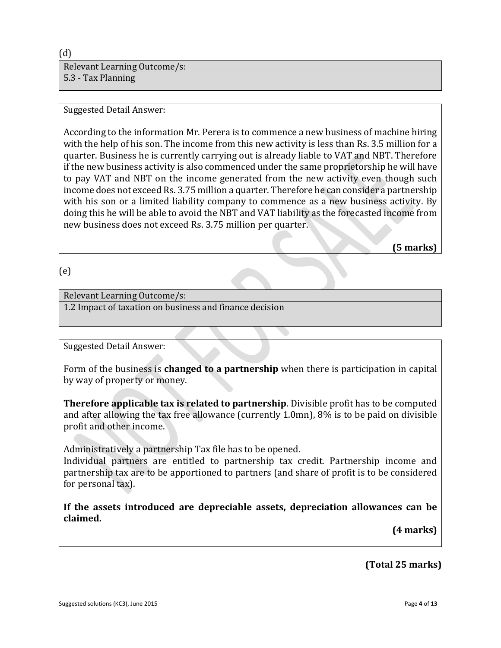(d) Relevant Learning Outcome/s: 5.3 - Tax Planning

#### Suggested Detail Answer:

According to the information Mr. Perera is to commence a new business of machine hiring with the help of his son. The income from this new activity is less than Rs. 3.5 million for a quarter. Business he is currently carrying out is already liable to VAT and NBT. Therefore if the new business activity is also commenced under the same proprietorship he will have to pay VAT and NBT on the income generated from the new activity even though such income does not exceed Rs. 3.75 million a quarter. Therefore he can consider a partnership with his son or a limited liability company to commence as a new business activity. By doing this he will be able to avoid the NBT and VAT liability as the forecasted income from new business does not exceed Rs. 3.75 million per quarter.

**(5 marks)**

#### (e)

#### Relevant Learning Outcome/s:

1.2 Impact of taxation on business and finance decision

#### Suggested Detail Answer:

Form of the business is **changed to a partnership** when there is participation in capital by way of property or money.

**Therefore applicable tax is related to partnership**. Divisible profit has to be computed and after allowing the tax free allowance (currently 1.0mn), 8% is to be paid on divisible profit and other income.

Administratively a partnership Tax file has to be opened.

Individual partners are entitled to partnership tax credit. Partnership income and partnership tax are to be apportioned to partners (and share of profit is to be considered for personal tax).

**If the assets introduced are depreciable assets, depreciation allowances can be claimed.**

**(4 marks)**

**(Total 25 marks)**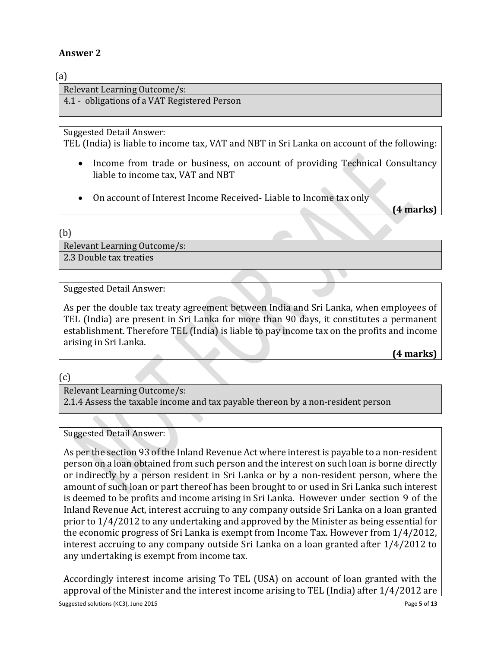## **Answer 2**

## (a)

Relevant Learning Outcome/s:

4.1 - obligations of a VAT Registered Person

Suggested Detail Answer:

TEL (India) is liable to income tax, VAT and NBT in Sri Lanka on account of the following:

- Income from trade or business, on account of providing Technical Consultancy liable to income tax, VAT and NBT
- On account of Interest Income Received- Liable to Income tax only

**(4 marks)**

#### (b)

Relevant Learning Outcome/s:

2.3 Double tax treaties

## Suggested Detail Answer:

As per the double tax treaty agreement between India and Sri Lanka, when employees of TEL (India) are present in Sri Lanka for more than 90 days, it constitutes a permanent establishment. Therefore TEL (India) is liable to pay income tax on the profits and income arising in Sri Lanka.

**(4 marks)**

(c)

## Relevant Learning Outcome/s:

2.1.4 Assess the taxable income and tax payable thereon by a non-resident person

## Suggested Detail Answer:

As per the section 93 of the Inland Revenue Act where interest is payable to a non-resident person on a loan obtained from such person and the interest on such loan is borne directly or indirectly by a person resident in Sri Lanka or by a non-resident person, where the amount of such loan or part thereof has been brought to or used in Sri Lanka such interest is deemed to be profits and income arising in Sri Lanka. However under section 9 of the Inland Revenue Act, interest accruing to any company outside Sri Lanka on a loan granted prior to 1/4/2012 to any undertaking and approved by the Minister as being essential for the economic progress of Sri Lanka is exempt from Income Tax. However from 1/4/2012, interest accruing to any company outside Sri Lanka on a loan granted after 1/4/2012 to any undertaking is exempt from income tax.

Accordingly interest income arising To TEL (USA) on account of loan granted with the approval of the Minister and the interest income arising to TEL (India) after 1/4/2012 are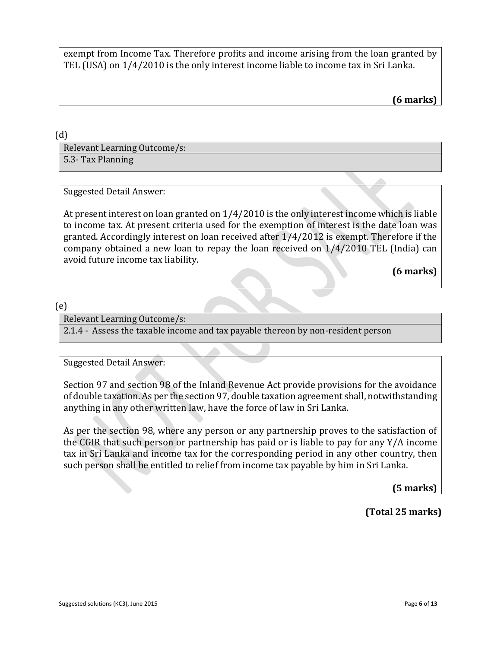exempt from Income Tax. Therefore profits and income arising from the loan granted by TEL (USA) on 1/4/2010 is the only interest income liable to income tax in Sri Lanka.

**(6 marks)**

(d)

Relevant Learning Outcome/s: 5.3- Tax Planning

Suggested Detail Answer:

At present interest on loan granted on 1/4/2010 is the only interest income which is liable to income tax. At present criteria used for the exemption of interest is the date loan was granted. Accordingly interest on loan received after 1/4/2012 is exempt. Therefore if the company obtained a new loan to repay the loan received on 1/4/2010 TEL (India) can avoid future income tax liability.

**(6 marks)**

(e)

Relevant Learning Outcome/s:

2.1.4 - Assess the taxable income and tax payable thereon by non-resident person

Suggested Detail Answer:

Section 97 and section 98 of the Inland Revenue Act provide provisions for the avoidance of double taxation. As per the section 97, double taxation agreement shall, notwithstanding anything in any other written law, have the force of law in Sri Lanka.

As per the section 98, where any person or any partnership proves to the satisfaction of the CGIR that such person or partnership has paid or is liable to pay for any Y/A income tax in Sri Lanka and income tax for the corresponding period in any other country, then such person shall be entitled to relief from income tax payable by him in Sri Lanka.

**(5 marks)**

**(Total 25 marks)**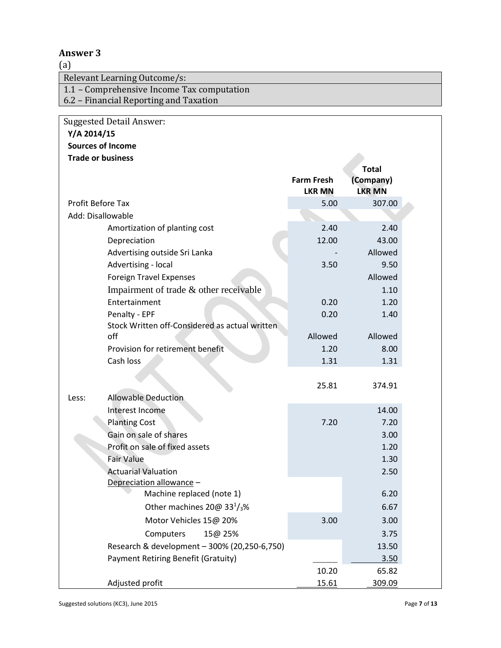## **Answer 3**

(a)

Relevant Learning Outcome/s:

1.1 – Comprehensive Income Tax computation

6.2 – Financial Reporting and Taxation

## **Y/A 2014/15**

## **Sources of Income**

|  | <b>Trade or business</b> |
|--|--------------------------|
|--|--------------------------|

|       | <b>Trade or business</b>                               |                                    |                            |  |
|-------|--------------------------------------------------------|------------------------------------|----------------------------|--|
|       |                                                        |                                    | <b>Total</b>               |  |
|       |                                                        | <b>Farm Fresh</b><br><b>LKR MN</b> | (Company)<br><b>LKR MN</b> |  |
|       | <b>Profit Before Tax</b>                               | 5.00                               | 307.00                     |  |
|       | Add: Disallowable                                      |                                    |                            |  |
|       | Amortization of planting cost                          | 2.40                               | 2.40                       |  |
|       | Depreciation                                           | 12.00                              | 43.00                      |  |
|       | Advertising outside Sri Lanka                          |                                    | Allowed                    |  |
|       | Advertising - local                                    | 3.50                               | 9.50                       |  |
|       | <b>Foreign Travel Expenses</b>                         |                                    | Allowed                    |  |
|       | Impairment of trade & other receivable                 |                                    | 1.10                       |  |
|       | Entertainment                                          | 0.20                               | 1.20                       |  |
|       | Penalty - EPF                                          | 0.20                               | 1.40                       |  |
|       | Stock Written off-Considered as actual written         |                                    |                            |  |
|       | off                                                    | Allowed                            | Allowed                    |  |
|       | Provision for retirement benefit                       | 1.20                               | 8.00                       |  |
|       | Cash loss                                              | 1.31                               | 1.31                       |  |
|       |                                                        |                                    |                            |  |
|       |                                                        | 25.81                              | 374.91                     |  |
| Less: | <b>Allowable Deduction</b>                             |                                    |                            |  |
|       | Interest Income                                        |                                    | 14.00                      |  |
|       | <b>Planting Cost</b>                                   | 7.20                               | 7.20                       |  |
|       | Gain on sale of shares                                 |                                    | 3.00                       |  |
|       | Profit on sale of fixed assets                         |                                    | 1.20                       |  |
|       | <b>Fair Value</b>                                      |                                    | 1.30                       |  |
|       | <b>Actuarial Valuation</b><br>Depreciation allowance - |                                    | 2.50                       |  |
|       | Machine replaced (note 1)                              |                                    | 6.20                       |  |
|       | Other machines 20@ 33 $\frac{1}{3}$ %                  |                                    | 6.67                       |  |
|       |                                                        |                                    |                            |  |
|       | Motor Vehicles 15@ 20%                                 | 3.00                               | 3.00                       |  |
|       | Computers<br>15@ 25%                                   |                                    | 3.75                       |  |
|       | Research & development - 300% (20,250-6,750)           |                                    | 13.50                      |  |
|       | Payment Retiring Benefit (Gratuity)                    |                                    | 3.50                       |  |
|       |                                                        | 10.20                              | 65.82                      |  |
|       | Adjusted profit                                        | <u>15.61</u>                       | 309.09                     |  |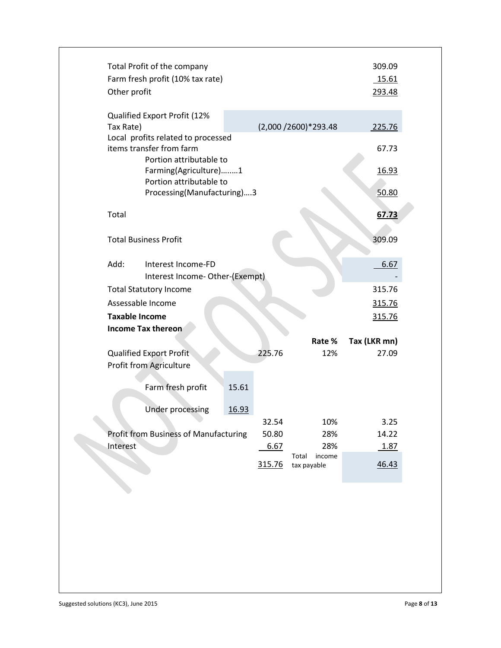| Other profit          | Total Profit of the company<br>Farm fresh profit (10% tax rate) |       |        |                         | 309.09<br>15.61<br>293.48 |  |
|-----------------------|-----------------------------------------------------------------|-------|--------|-------------------------|---------------------------|--|
| Tax Rate)             | Qualified Export Profit (12%                                    |       |        | (2,000 / 2600) * 293.48 | 225.76                    |  |
|                       | Local profits related to processed                              |       |        |                         |                           |  |
|                       | items transfer from farm                                        |       |        |                         | 67.73                     |  |
|                       | Portion attributable to                                         |       |        |                         |                           |  |
|                       | Farming(Agriculture)1<br>Portion attributable to                |       |        |                         | 16.93                     |  |
|                       | Processing(Manufacturing)3                                      |       |        |                         | 50.80                     |  |
|                       |                                                                 |       |        |                         |                           |  |
| Total                 |                                                                 |       |        |                         | 67.73                     |  |
|                       |                                                                 |       |        |                         |                           |  |
|                       | <b>Total Business Profit</b>                                    |       |        |                         | 309.09                    |  |
| Add:                  | Interest Income-FD                                              |       |        |                         | 6.67                      |  |
|                       | Interest Income-Other-(Exempt)                                  |       |        |                         |                           |  |
|                       | <b>Total Statutory Income</b>                                   |       |        |                         | 315.76                    |  |
|                       | Assessable Income                                               |       |        |                         | 315.76                    |  |
| <b>Taxable Income</b> |                                                                 |       |        |                         | 315.76                    |  |
|                       | Income Tax thereon                                              |       |        |                         |                           |  |
|                       |                                                                 |       |        | Rate %                  | Tax (LKR mn)              |  |
|                       | Qualified Export Profit                                         |       | 225.76 | 12%                     | 27.09                     |  |
|                       | Profit from Agriculture                                         |       |        |                         |                           |  |
|                       |                                                                 |       |        |                         |                           |  |
|                       | Farm fresh profit                                               | 15.61 |        |                         |                           |  |
|                       | <b>Under processing</b>                                         | 16.93 |        |                         |                           |  |
|                       |                                                                 |       | 32.54  | 10%                     | 3.25                      |  |
|                       | <b>Profit from Business of Manufacturing</b>                    |       | 50.80  | 28%                     | 14.22                     |  |
| Interest              |                                                                 |       | 6.67   | 28%                     | 1.87                      |  |
|                       |                                                                 |       |        | income<br>Total         |                           |  |
|                       |                                                                 |       | 315.76 | tax payable             | 46.43                     |  |
|                       |                                                                 |       |        |                         |                           |  |
|                       |                                                                 |       |        |                         |                           |  |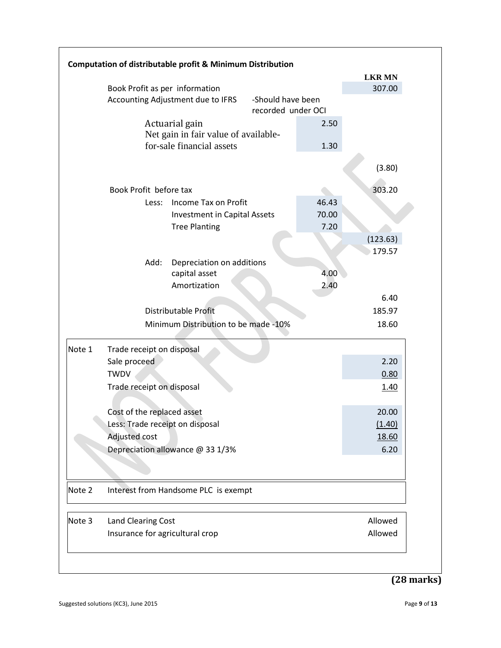|        |                                   | Computation of distributable profit & Minimum Distribution        |                                         |         |               |
|--------|-----------------------------------|-------------------------------------------------------------------|-----------------------------------------|---------|---------------|
|        |                                   |                                                                   |                                         |         | <b>LKR MN</b> |
|        | Book Profit as per information    |                                                                   |                                         |         | 307.00        |
|        | Accounting Adjustment due to IFRS |                                                                   | -Should have been<br>recorded under OCI |         |               |
|        |                                   | Actuarial gain                                                    |                                         | 2.50    |               |
|        |                                   | Net gain in fair value of available-<br>for-sale financial assets |                                         | 1.30    |               |
|        |                                   |                                                                   |                                         |         | (3.80)        |
|        | Book Profit before tax            |                                                                   |                                         |         | 303.20        |
|        | Less:                             | Income Tax on Profit                                              |                                         | 46.43   |               |
|        |                                   | <b>Investment in Capital Assets</b>                               |                                         | 70.00   |               |
|        |                                   | <b>Tree Planting</b>                                              |                                         | 7.20    |               |
|        |                                   |                                                                   |                                         |         | (123.63)      |
|        |                                   |                                                                   |                                         |         | 179.57        |
|        | Add:                              | Depreciation on additions                                         |                                         |         |               |
|        |                                   | capital asset                                                     |                                         | 4.00    |               |
|        |                                   | Amortization                                                      |                                         | 2.40    |               |
|        |                                   |                                                                   |                                         |         | 6.40          |
|        |                                   | Distributable Profit                                              |                                         |         | 185.97        |
|        |                                   | Minimum Distribution to be made -10%                              |                                         |         | 18.60         |
| Note 1 | Trade receipt on disposal         |                                                                   |                                         |         |               |
|        | Sale proceed                      |                                                                   |                                         |         | 2.20          |
|        | <b>TWDV</b>                       |                                                                   |                                         |         | 0.80          |
|        | Trade receipt on disposal         |                                                                   |                                         |         | 1.40          |
|        | Cost of the replaced asset        |                                                                   |                                         |         | 20.00         |
|        | Less: Trade receipt on disposal   |                                                                   |                                         |         | (1.40)        |
|        | <b>Adjusted cost</b>              |                                                                   |                                         |         | 18.60         |
|        |                                   | Depreciation allowance @ 33 1/3%                                  |                                         |         | 6.20          |
|        |                                   |                                                                   |                                         |         |               |
| Note 2 |                                   | Interest from Handsome PLC is exempt                              |                                         |         |               |
| Note 3 | Land Clearing Cost                |                                                                   |                                         |         | Allowed       |
|        | Insurance for agricultural crop   |                                                                   |                                         | Allowed |               |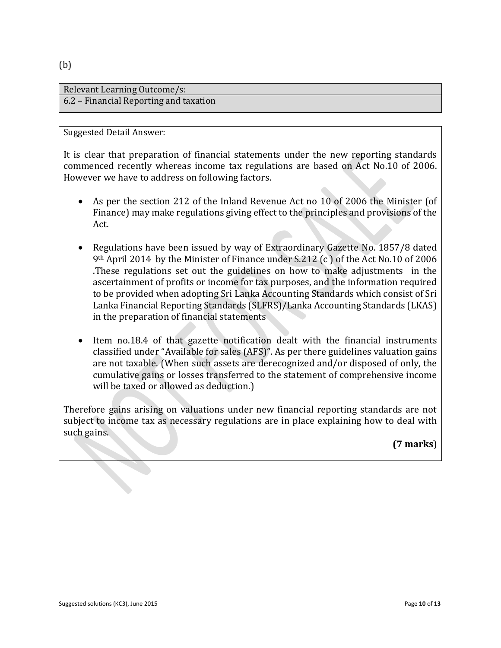#### (b)

#### Relevant Learning Outcome/s: 6.2 – Financial Reporting and taxation

#### Suggested Detail Answer:

It is clear that preparation of financial statements under the new reporting standards commenced recently whereas income tax regulations are based on Act No.10 of 2006. However we have to address on following factors.

- As per the section 212 of the Inland Revenue Act no 10 of 2006 the Minister (of Finance) may make regulations giving effect to the principles and provisions of the Act.
- Regulations have been issued by way of Extraordinary Gazette No. 1857/8 dated 9th April 2014 by the Minister of Finance under S.212 (c ) of the Act No.10 of 2006 .These regulations set out the guidelines on how to make adjustments in the ascertainment of profits or income for tax purposes, and the information required to be provided when adopting Sri Lanka Accounting Standards which consist of Sri Lanka Financial Reporting Standards (SLFRS)/Lanka Accounting Standards (LKAS) in the preparation of financial statements
- Item no.18.4 of that gazette notification dealt with the financial instruments classified under "Available for sales (AFS)". As per there guidelines valuation gains are not taxable. (When such assets are derecognized and/or disposed of only, the cumulative gains or losses transferred to the statement of comprehensive income will be taxed or allowed as deduction.)

Therefore gains arising on valuations under new financial reporting standards are not subject to income tax as necessary regulations are in place explaining how to deal with such gains.

**(7 marks**)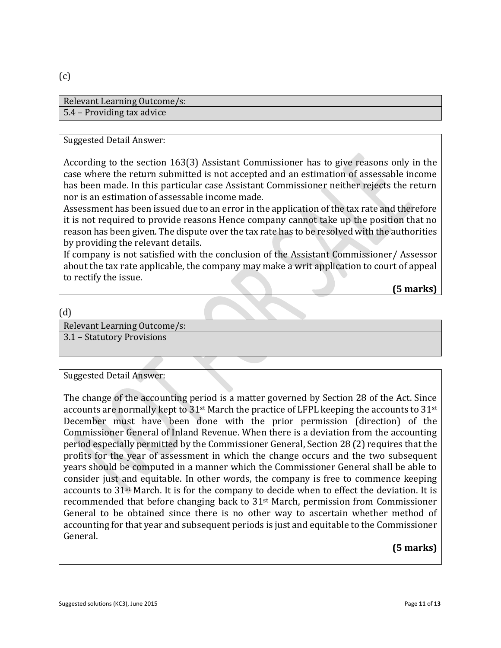#### (c)

| Relevant Learning Outcome/s: |
|------------------------------|
| 5.4 – Providing tax advice   |

#### Suggested Detail Answer:

According to the section 163(3) Assistant Commissioner has to give reasons only in the case where the return submitted is not accepted and an estimation of assessable income has been made. In this particular case Assistant Commissioner neither rejects the return nor is an estimation of assessable income made.

Assessment has been issued due to an error in the application of the tax rate and therefore it is not required to provide reasons Hence company cannot take up the position that no reason has been given. The dispute over the tax rate has to be resolved with the authorities by providing the relevant details.

If company is not satisfied with the conclusion of the Assistant Commissioner/ Assessor about the tax rate applicable, the company may make a writ application to court of appeal to rectify the issue.

**(5 marks)**

#### (d)

Relevant Learning Outcome/s:

3.1 – Statutory Provisions

Suggested Detail Answer:

The change of the accounting period is a matter governed by Section 28 of the Act. Since accounts are normally kept to 31<sup>st</sup> March the practice of LFPL keeping the accounts to 31<sup>st</sup> December must have been done with the prior permission (direction) of the Commissioner General of Inland Revenue. When there is a deviation from the accounting period especially permitted by the Commissioner General, Section 28 (2) requires that the profits for the year of assessment in which the change occurs and the two subsequent years should be computed in a manner which the Commissioner General shall be able to consider just and equitable. In other words, the company is free to commence keeping accounts to 31st March. It is for the company to decide when to effect the deviation. It is recommended that before changing back to 31st March, permission from Commissioner General to be obtained since there is no other way to ascertain whether method of accounting for that year and subsequent periods is just and equitable to the Commissioner General.

## **(5 marks)**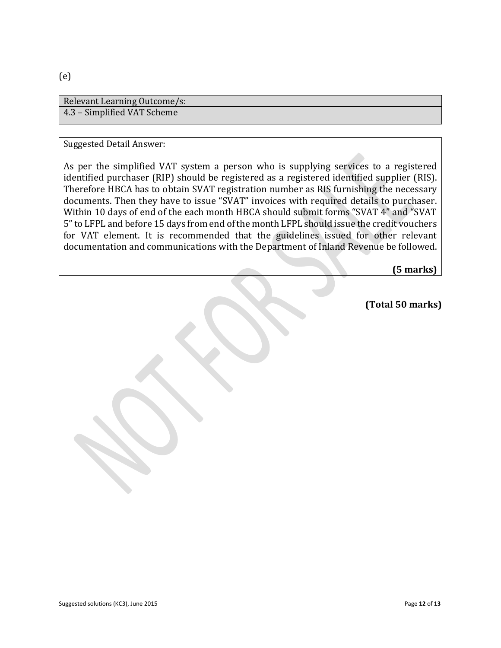Relevant Learning Outcome/s: 4.3 – Simplified VAT Scheme

#### Suggested Detail Answer:

As per the simplified VAT system a person who is supplying services to a registered identified purchaser (RIP) should be registered as a registered identified supplier (RIS). Therefore HBCA has to obtain SVAT registration number as RIS furnishing the necessary documents. Then they have to issue "SVAT" invoices with required details to purchaser. Within 10 days of end of the each month HBCA should submit forms "SVAT 4" and "SVAT 5" to LFPL and before 15 days from end of the month LFPL should issue the credit vouchers for VAT element. It is recommended that the guidelines issued for other relevant documentation and communications with the Department of Inland Revenue be followed.

**(5 marks)**

**(Total 50 marks)**